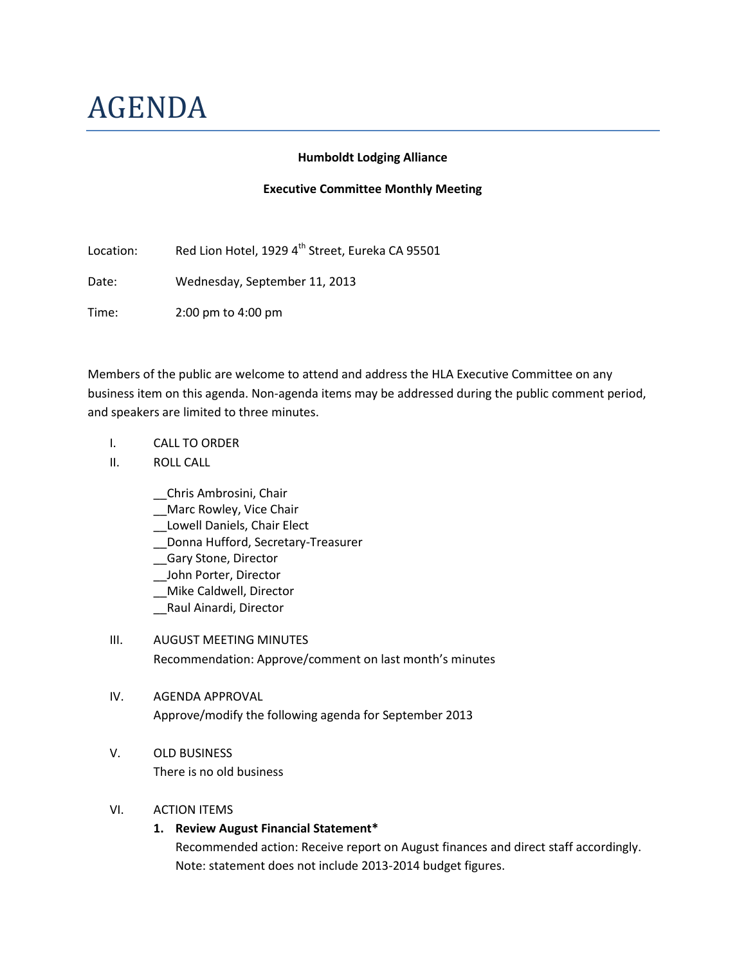# AGENDA

#### **Humboldt Lodging Alliance**

#### **Executive Committee Monthly Meeting**

Location: Red Lion Hotel, 1929 4<sup>th</sup> Street, Eureka CA 95501

Date: Wednesday, September 11, 2013

Time: 2:00 pm to 4:00 pm

Members of the public are welcome to attend and address the HLA Executive Committee on any business item on this agenda. Non-agenda items may be addressed during the public comment period, and speakers are limited to three minutes.

- I. CALL TO ORDER
- II. ROLL CALL
	- \_\_Chris Ambrosini, Chair
	- Marc Rowley, Vice Chair
	- \_\_Lowell Daniels, Chair Elect
	- \_\_Donna Hufford, Secretary-Treasurer
	- \_\_Gary Stone, Director
	- \_\_John Porter, Director
	- \_\_Mike Caldwell, Director
	- \_\_Raul Ainardi, Director

# III. AUGUST MEETING MINUTES Recommendation: Approve/comment on last month's minutes

# IV. AGENDA APPROVAL Approve/modify the following agenda for September 2013

# V. OLD BUSINESS

There is no old business

#### VI. ACTION ITEMS

# **1. Review August Financial Statement\***

Recommended action: Receive report on August finances and direct staff accordingly. Note: statement does not include 2013-2014 budget figures.